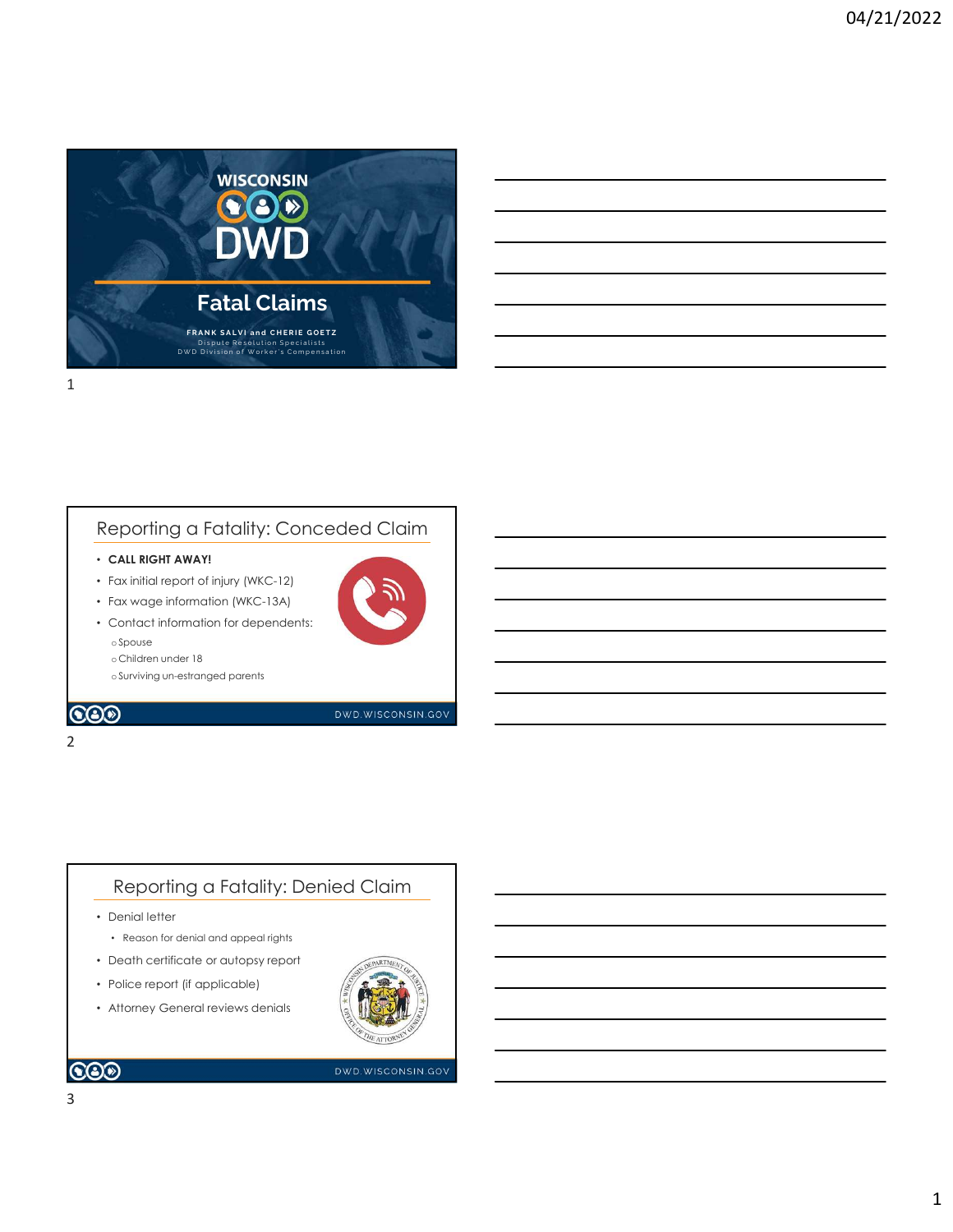

## Reporting a Fatality: Conceded Claim

### • CALL RIGHT AWAY!

- Fax initial report of injury (WKC-12)
- Fax wage information (WKC-13A)



oSurviving un-estranged parents

2 and 2 and 2 and 2 and 2 and 2 and 2 and 2 and 2 and 2 and 2 and 2 and 2 and 2 and 2 and 2 and 2 and 2 and 2

## **COD**

### DWD.WISCONSIN.GOV

# Reporting a Fatality: Denied Claim

- Denial letter
	- Reason for denial and appeal rights
- Death certificate or autopsy report
- Police report (if applicable)
- Attorney General reviews denials



DWD.WISCONSIN.GOV

## **COD**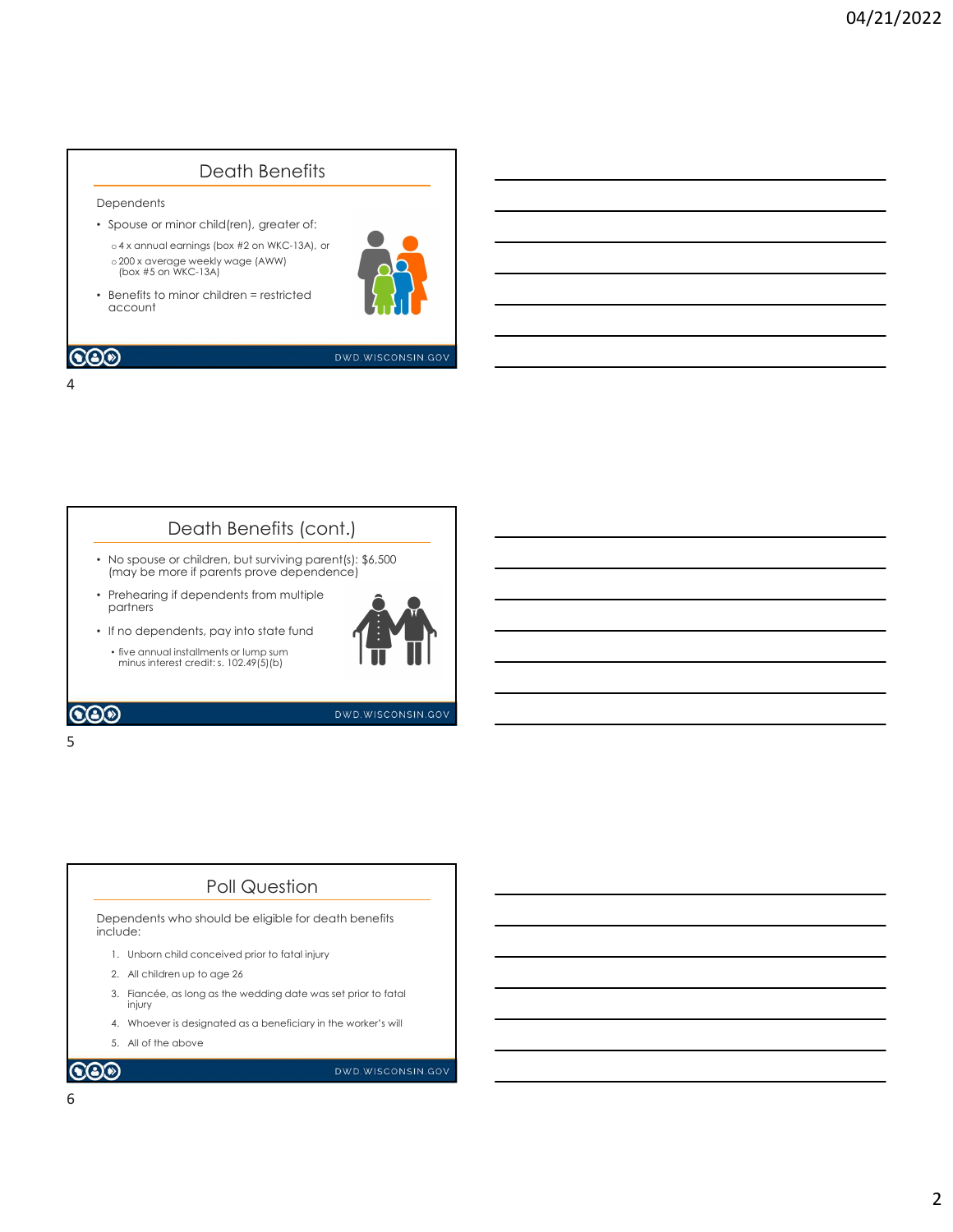# Death Benefits

Dependents

- Spouse or minor child(ren), greater of: o4 x annual earnings (box #2 on WKC-13A), or
	- o 200 x average weekly wage (AWW)  $\overline{Q}$
- Benefits to minor children = restricted account

4



# $\bigcircledS$

DWD.WISCONSIN.GOV

## Death Benefits (cont.)

- No spouse or children, but surviving parent(s): \$6,500 (may be more if parents prove dependence)
- Prehearing if dependents from multiple partners
- If no dependents, pay into state fund





### $5<sub>5</sub>$

# Poll Question

Dependents who should be eligible for death benefits include:

- 
- 
- 3. Fiancée, as long as the wedding date was set prior to fatal<br>injury 4. We approach the control of the worker's the state of the first control in the main interest credits, 102.49(5) [6]<br>
4. Who will account the worker's will be a beneficiary in the worker's will be a benefit will be contro The dependents, puty into state long<br>
The five annual installments of lump sum<br>
minus interest credit: s. 102.49(S)[b]<br> **Solution**<br> **Solution**<br> **Solution**<br> **Solution**<br> **Solution**<br> **Solution**<br> **Solution**<br> **Solution**<br> **Solut**
- 
-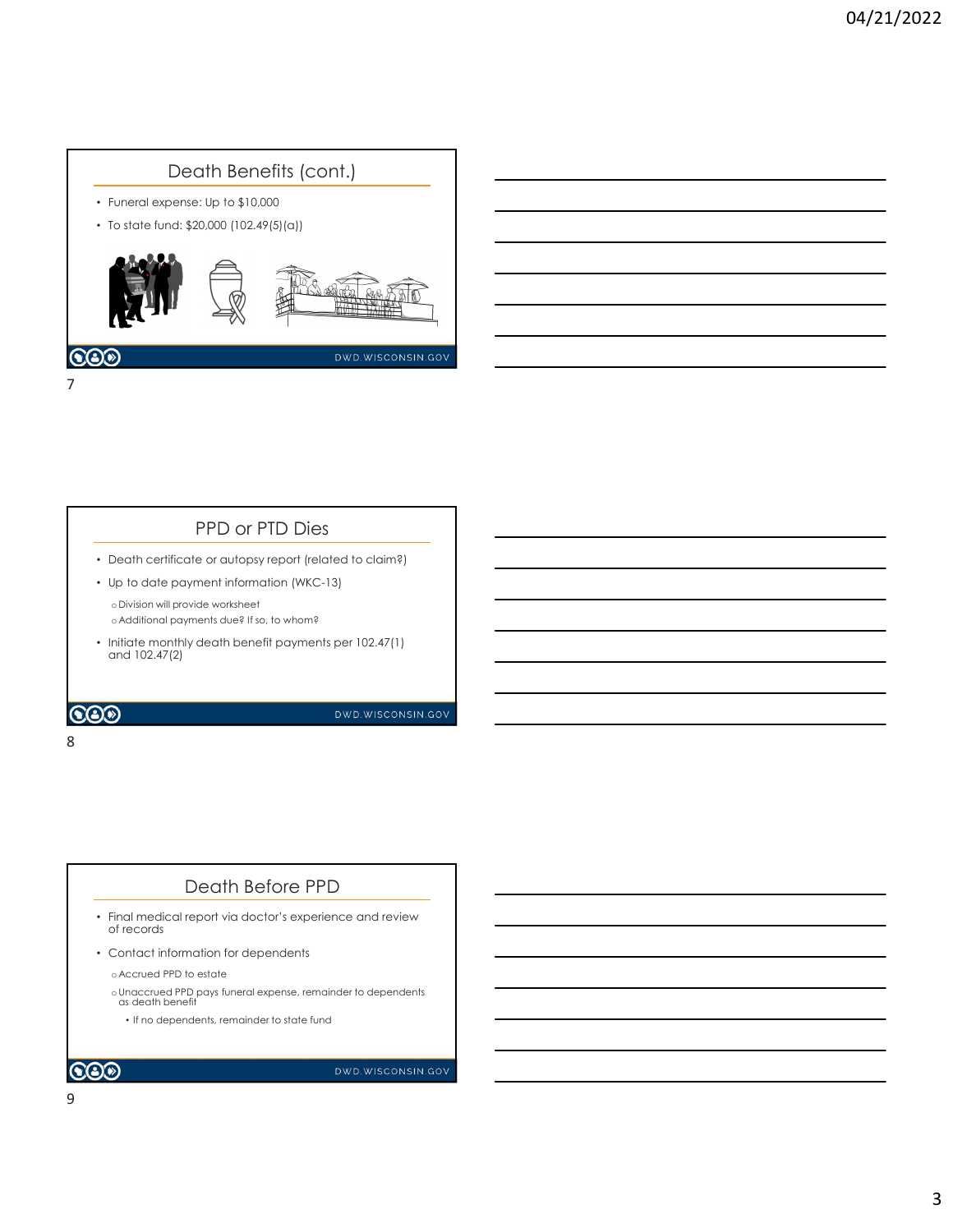

## PPD or PTD Dies

- Death certificate or autopsy report (related to claim?)
- Up to date payment information (WKC-13)

o Division will provide worksheet o Additional payments due? If so, to whom?

• Initiate monthly death benefit payments per 102.47(1) and 102.47(2)

**COD** 

### DWD.WISCONSIN.GOV

### 8 and 2010 and 2010 and 2010 and 2010 and 2010 and 2010 and 2010 and 2010 and 2010 and 2010 and 2010 and 2010

# Death Before PPD

- Final medical report via doctor's experience and review of records
- Contact information for dependents

o Accrued PPD to estate

oUnaccrued PPD pays funeral expense, remainder to dependents as death benefit

• If no dependents, remainder to state fund

 $\bigcircledS$ 

DWD.WISCONSIN.GOV